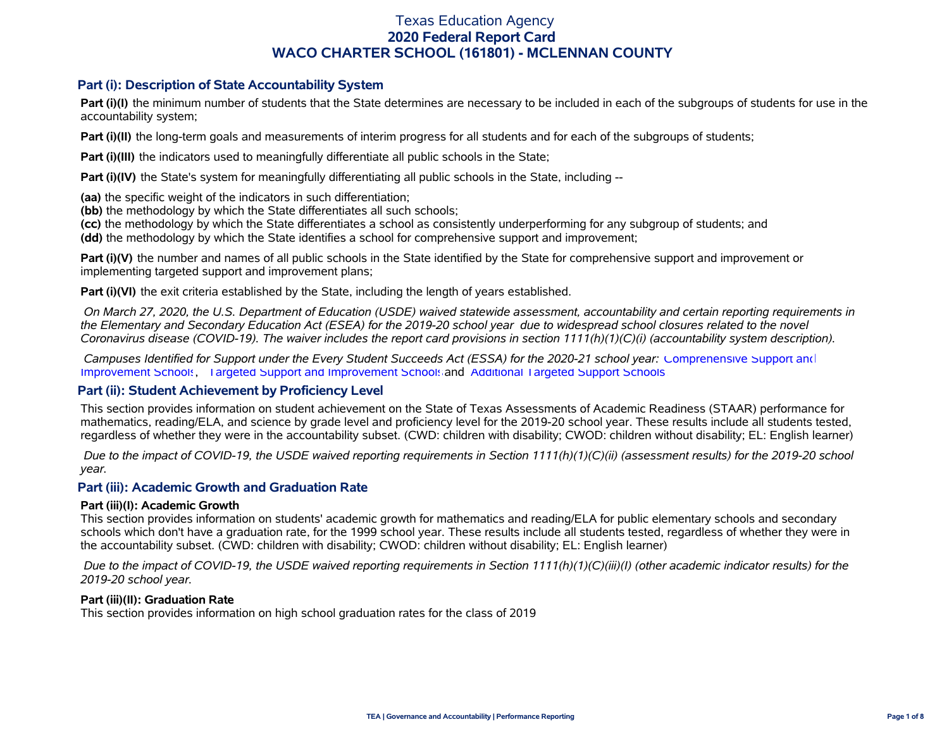### **Part (i): Description of State Accountability System**

**Part (i)(I)** the minimum number of students that the State determines are necessary to be included in each of the subgroups of students for use in the accountability system;

**Part (i)(II)** the long-term goals and measurements of interim progress for all students and for each of the subgroups of students;

**Part (i)(III)** the indicators used to meaningfully differentiate all public schools in the State;

**Part (i)(IV)** the State's system for meaningfully differentiating all public schools in the State, including --

**(aa)** the specific weight of the indicators in such differentiation;

**(bb)** the methodology by which the State differentiates all such schools;

**(cc)** the methodology by which the State differentiates a school as consistently underperforming for any subgroup of students; and

**(dd)** the methodology by which the State identifies a school for comprehensive support and improvement;

**Part (i)(V)** the number and names of all public schools in the State identified by the State for comprehensive support and improvement or implementing targeted support and improvement plans;

**Part (i)(VI)** the exit criteria established by the State, including the length of years established.

 *On March 27, 2020, the U.S. Department of Education (USDE) waived statewide assessment, accountability and certain reporting requirements in the Elementary and Secondary Education Act (ESEA) for the 2019-20 school year due to widespread school closures related to the novel Coronavirus disease (COVID-19). The waiver includes the report card provisions in section 1111(h)(1)(C)(i) (accountability system description).* 

 *Campuses Identified for Support under the Every Student Succeeds Act (ESSA) for the 2020-21 school year:* [Comprehensive Support and](https://tea.texas.gov/sites/default/files/comprehensive_support_2020.xlsx) [Improvement Schools](https://tea.texas.gov/sites/default/files/comprehensive_support_2020.xlsx), [Targeted Support and Improvement Schools](https://tea.texas.gov/sites/default/files/targeted_support_2020.xlsx) and [Additional Targeted Support Schools.](https://tea.texas.gov/sites/default/files/additional_targeted_support_2020.xlsx)

#### **Part (ii): Student Achievement by Proficiency Level**

This section provides information on student achievement on the State of Texas Assessments of Academic Readiness (STAAR) performance for mathematics, reading/ELA, and science by grade level and proficiency level for the 2019-20 school year. These results include all students tested, regardless of whether they were in the accountability subset. (CWD: children with disability; CWOD: children without disability; EL: English learner)

 *Due to the impact of COVID-19, the USDE waived reporting requirements in Section 1111(h)(1)(C)(ii) (assessment results) for the 2019-20 school year.*

#### **Part (iii): Academic Growth and Graduation Rate**

#### **Part (iii)(I): Academic Growth**

This section provides information on students' academic growth for mathematics and reading/ELA for public elementary schools and secondary schools which don't have a graduation rate, for the 1999 school year. These results include all students tested, regardless of whether they were in the accountability subset. (CWD: children with disability; CWOD: children without disability; EL: English learner)

 *Due to the impact of COVID-19, the USDE waived reporting requirements in Section 1111(h)(1)(C)(iii)(I) (other academic indicator results) for the 2019-20 school year.*

#### **Part (iii)(II): Graduation Rate**

This section provides information on high school graduation rates for the class of 2019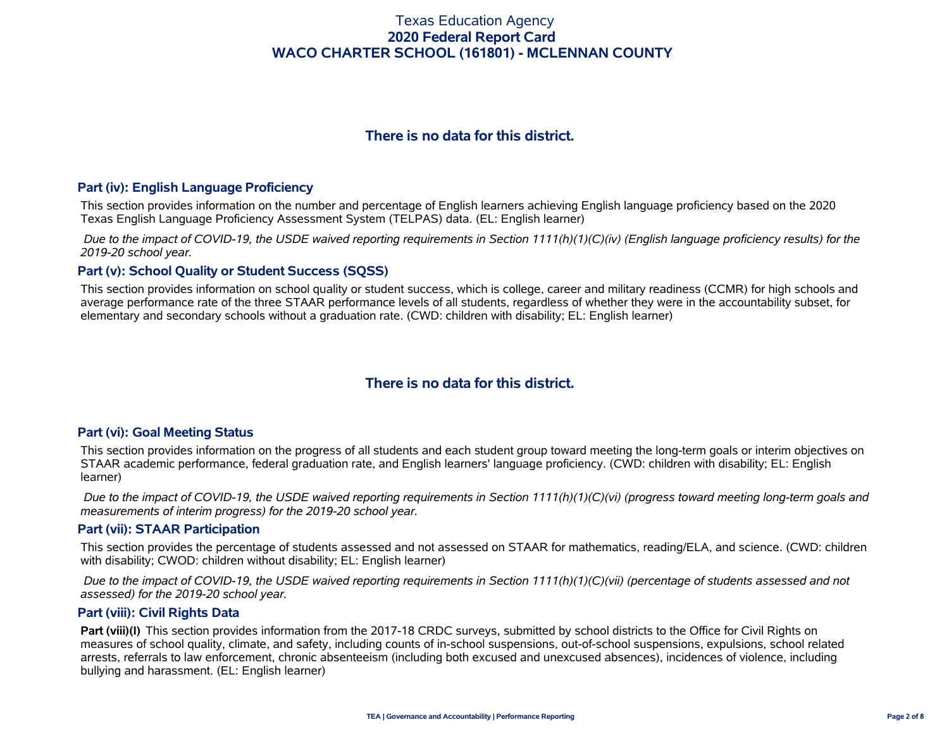# **There is no data for this district.**

#### **Part (iv): English Language Proficiency**

This section provides information on the number and percentage of English learners achieving English language proficiency based on the 2020 Texas English Language Proficiency Assessment System (TELPAS) data. (EL: English learner)

 *Due to the impact of COVID-19, the USDE waived reporting requirements in Section 1111(h)(1)(C)(iv) (English language proficiency results) for the 2019-20 school year.*

### **Part (v): School Quality or Student Success (SQSS)**

This section provides information on school quality or student success, which is college, career and military readiness (CCMR) for high schools and average performance rate of the three STAAR performance levels of all students, regardless of whether they were in the accountability subset, for elementary and secondary schools without a graduation rate. (CWD: children with disability; EL: English learner)

# **There is no data for this district.**

#### **Part (vi): Goal Meeting Status**

This section provides information on the progress of all students and each student group toward meeting the long-term goals or interim objectives on STAAR academic performance, federal graduation rate, and English learners' language proficiency. (CWD: children with disability; EL: English learner)

 *Due to the impact of COVID-19, the USDE waived reporting requirements in Section 1111(h)(1)(C)(vi) (progress toward meeting long-term goals and measurements of interim progress) for the 2019-20 school year.*

#### **Part (vii): STAAR Participation**

This section provides the percentage of students assessed and not assessed on STAAR for mathematics, reading/ELA, and science. (CWD: children with disability; CWOD: children without disability; EL: English learner)

 *Due to the impact of COVID-19, the USDE waived reporting requirements in Section 1111(h)(1)(C)(vii) (percentage of students assessed and not assessed) for the 2019-20 school year.*

#### **Part (viii): Civil Rights Data**

**Part (viii)(I)** This section provides information from the 2017-18 CRDC surveys, submitted by school districts to the Office for Civil Rights on measures of school quality, climate, and safety, including counts of in-school suspensions, out-of-school suspensions, expulsions, school related arrests, referrals to law enforcement, chronic absenteeism (including both excused and unexcused absences), incidences of violence, including bullying and harassment. (EL: English learner)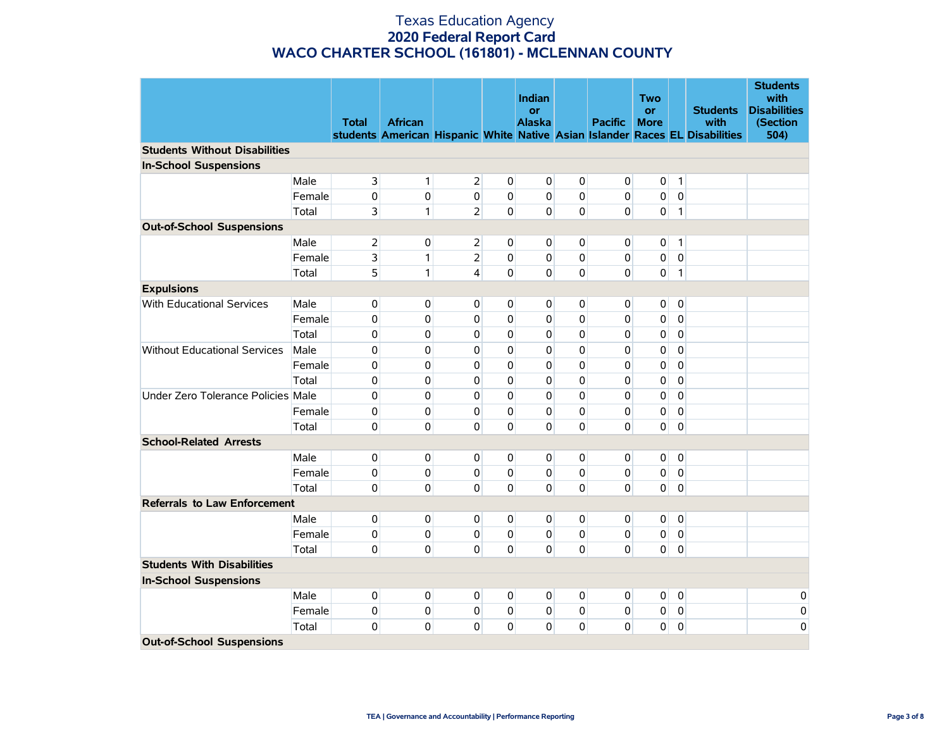|                                      |        | <b>Total</b>   | <b>African</b> |                |                | Indian<br>or<br><b>Alaska</b> |                | <b>Pacific</b> | <b>Two</b><br><b>or</b><br><b>More</b> |                | <b>Students</b><br>with<br>students American Hispanic White Native Asian Islander Races EL Disabilities | <b>Students</b><br>with<br><b>Disabilities</b><br>(Section<br>504) |
|--------------------------------------|--------|----------------|----------------|----------------|----------------|-------------------------------|----------------|----------------|----------------------------------------|----------------|---------------------------------------------------------------------------------------------------------|--------------------------------------------------------------------|
| <b>Students Without Disabilities</b> |        |                |                |                |                |                               |                |                |                                        |                |                                                                                                         |                                                                    |
| <b>In-School Suspensions</b>         |        |                |                |                |                |                               |                |                |                                        |                |                                                                                                         |                                                                    |
|                                      | Male   | 3              | 1              | $\overline{2}$ | $\overline{0}$ | $\overline{0}$                | $\mathbf 0$    | $\mathbf 0$    | $\mathbf 0$                            | $\mathbf{1}$   |                                                                                                         |                                                                    |
|                                      | Female | 0              | 0              | 0              | 0              | $\overline{0}$                | $\mathbf 0$    | 0              | 0                                      | $\mathbf 0$    |                                                                                                         |                                                                    |
|                                      | Total  | 3              | 1              | $\overline{2}$ | $\overline{0}$ | $\Omega$                      | $\mathbf 0$    | $\Omega$       | $\overline{0}$                         | $\mathbf{1}$   |                                                                                                         |                                                                    |
| <b>Out-of-School Suspensions</b>     |        |                |                |                |                |                               |                |                |                                        |                |                                                                                                         |                                                                    |
|                                      | Male   | $\overline{2}$ | $\overline{0}$ | $\overline{2}$ | $\Omega$       | $\mathbf 0$                   | 0              | 0              | $\mathbf 0$                            | $\mathbf{1}$   |                                                                                                         |                                                                    |
|                                      | Female | 3              | 1              | $\overline{2}$ | 0              | $\mathbf 0$                   | $\pmb{0}$      | $\pmb{0}$      | 0                                      | $\pmb{0}$      |                                                                                                         |                                                                    |
|                                      | Total  | 5              | $\mathbf{1}$   | $\overline{4}$ | 0              | $\overline{0}$                | $\mathbf 0$    | 0              | 0                                      | $\mathbf{1}$   |                                                                                                         |                                                                    |
| <b>Expulsions</b>                    |        |                |                |                |                |                               |                |                |                                        |                |                                                                                                         |                                                                    |
| With Educational Services            | Male   | 0              | $\overline{0}$ | 0              | $\overline{0}$ | $\overline{0}$                | 0              | 0              | $\overline{0}$                         | $\mathbf 0$    |                                                                                                         |                                                                    |
|                                      | Female | 0              | 0              | $\mathbf{0}$   | $\mathbf 0$    | $\overline{0}$                | $\mathbf 0$    | 0              | 0                                      | $\mathbf 0$    |                                                                                                         |                                                                    |
|                                      | Total  | 0              | 0              | $\mathbf{0}$   | $\mathbf 0$    | $\overline{0}$                | $\mathbf 0$    | 0              | 0                                      | $\mathbf 0$    |                                                                                                         |                                                                    |
| <b>Without Educational Services</b>  | Male   | 0              | 0              | 0              | $\mathbf 0$    | 0                             | $\mathbf 0$    | 0              | 0                                      | $\mathbf 0$    |                                                                                                         |                                                                    |
|                                      | Female | 0              | 0              | $\Omega$       | $\mathbf 0$    | 0                             | $\Omega$       | 0              | 0                                      | $\mathbf 0$    |                                                                                                         |                                                                    |
|                                      | Total  | 0              | 0              | 0              | $\mathbf 0$    | 0                             | $\Omega$       | 0              | 0                                      | $\mathbf 0$    |                                                                                                         |                                                                    |
| Under Zero Tolerance Policies Male   |        | 0              | 0              | $\mathbf{0}$   | $\mathbf 0$    | 0                             | $\Omega$       | 0              | 0                                      | $\mathbf 0$    |                                                                                                         |                                                                    |
|                                      | Female | 0              | 0              | $\mathbf{0}$   | $\mathbf 0$    | $\mathbf 0$                   | 0              | 0              | 0                                      | $\mathbf 0$    |                                                                                                         |                                                                    |
|                                      | Total  | 0              | $\Omega$       | $\Omega$       | $\Omega$       | $\overline{0}$                | $\Omega$       | $\mathbf 0$    | $\overline{0}$                         | $\mathbf 0$    |                                                                                                         |                                                                    |
| <b>School-Related Arrests</b>        |        |                |                |                |                |                               |                |                |                                        |                |                                                                                                         |                                                                    |
|                                      | Male   | 0              | $\overline{0}$ | $\overline{0}$ | $\overline{0}$ | $\overline{0}$                | $\overline{0}$ | 0              | $\overline{0}$                         | $\mathbf 0$    |                                                                                                         |                                                                    |
|                                      | Female | 0              | $\mathbf 0$    | $\overline{0}$ | $\mathbf{0}$   | $\overline{0}$                | 0              | 0              | 0                                      | $\mathbf 0$    |                                                                                                         |                                                                    |
|                                      | Total  | 0              | $\Omega$       | $\overline{0}$ | $\Omega$       | $\overline{0}$                | $\mathbf 0$    | $\Omega$       | $\Omega$                               | $\pmb{0}$      |                                                                                                         |                                                                    |
| <b>Referrals to Law Enforcement</b>  |        |                |                |                |                |                               |                |                |                                        |                |                                                                                                         |                                                                    |
|                                      | Male   | 0              | $\overline{0}$ | $\overline{0}$ | $\overline{0}$ | $\mathbf 0$                   | $\overline{0}$ | $\overline{0}$ | $\overline{0}$                         | $\circ$        |                                                                                                         |                                                                    |
|                                      | Female | 0              | $\pmb{0}$      | $\overline{0}$ | $\mathbf 0$    | $\mathbf 0$                   | $\pmb{0}$      | 0              | $\overline{0}$                         | $\pmb{0}$      |                                                                                                         |                                                                    |
|                                      | Total  | 0              | 0              | $\mathbf 0$    | $\mathbf{0}$   | $\mathbf 0$                   | $\mathbf 0$    | 0              | $\overline{0}$                         | $\pmb{0}$      |                                                                                                         |                                                                    |
| <b>Students With Disabilities</b>    |        |                |                |                |                |                               |                |                |                                        |                |                                                                                                         |                                                                    |
| <b>In-School Suspensions</b>         |        |                |                |                |                |                               |                |                |                                        |                |                                                                                                         |                                                                    |
|                                      | Male   | 0              | $\overline{0}$ | $\overline{0}$ | $\overline{0}$ | $\overline{0}$                | $\mathbf{0}$   | $\mathbf{0}$   | $\overline{0}$                         | $\overline{0}$ |                                                                                                         | 0                                                                  |
|                                      | Female | 0              | 0              | $\overline{0}$ | $\overline{0}$ | $\mathbf 0$                   | $\overline{0}$ | $\overline{0}$ | $\overline{0}$                         | $\overline{0}$ |                                                                                                         | 0                                                                  |
|                                      | Total  | 0              | 0              | $\Omega$       | 0              | 0                             | $\mathbf 0$    | 0              | 0                                      | $\pmb{0}$      |                                                                                                         | 0                                                                  |
| <b>Out-of-School Suspensions</b>     |        |                |                |                |                |                               |                |                |                                        |                |                                                                                                         |                                                                    |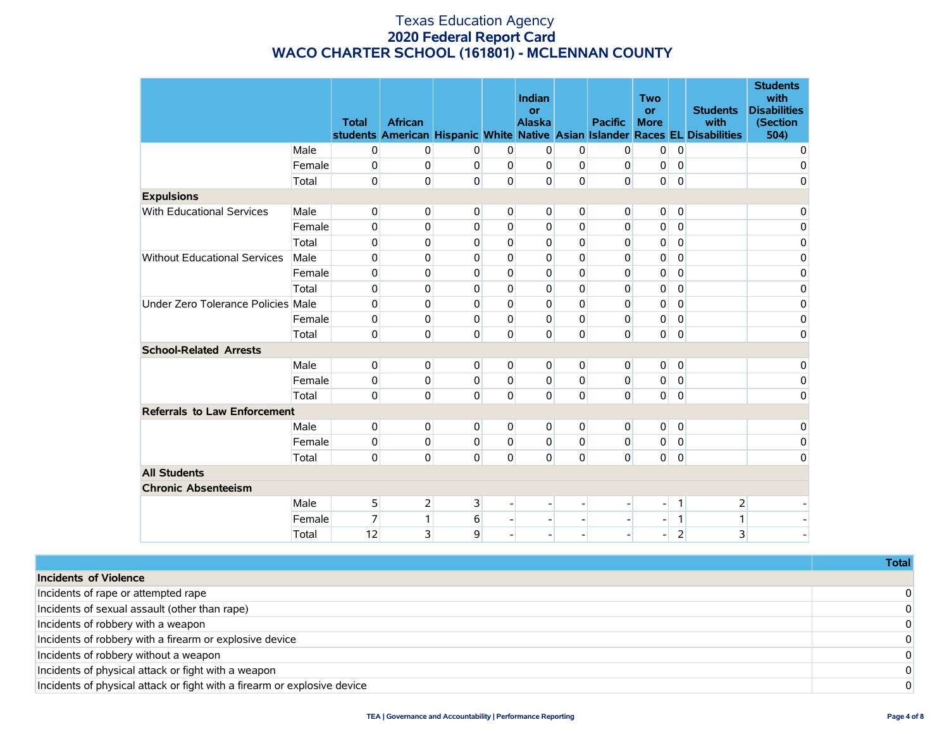|                                     |        | <b>Total</b> | <b>African</b> |                         |                | Indian<br>or<br><b>Alaska</b> |                | <b>Pacific</b> | <b>Two</b><br><b>or</b><br><b>More</b> |                | <b>Students</b><br>with<br>students American Hispanic White Native Asian Islander Races EL Disabilities | <b>Students</b><br>with<br><b>Disabilities</b><br>(Section<br>504) |
|-------------------------------------|--------|--------------|----------------|-------------------------|----------------|-------------------------------|----------------|----------------|----------------------------------------|----------------|---------------------------------------------------------------------------------------------------------|--------------------------------------------------------------------|
|                                     | Male   | 0            | 0              | $\Omega$                | $\Omega$       | $\overline{0}$                | $\overline{0}$ | $\mathbf 0$    | $\overline{0}$                         | $\mathbf 0$    |                                                                                                         | $\mathbf 0$                                                        |
|                                     | Female | 0            | 0              | $\mathbf 0$             | $\Omega$       | $\overline{0}$                | 0              | 0              | 0                                      | $\mathbf 0$    |                                                                                                         | 0                                                                  |
|                                     | Total  | 0            | 0              | $\mathbf{0}$            | $\mathbf{0}$   | $\overline{0}$                | $\mathbf{0}$   | $\Omega$       | $\overline{0}$                         | $\mathbf 0$    |                                                                                                         | $\overline{0}$                                                     |
| <b>Expulsions</b>                   |        |              |                |                         |                |                               |                |                |                                        |                |                                                                                                         |                                                                    |
| With Educational Services           | Male   | 0            | 0              | 0                       | $\overline{0}$ | $\overline{0}$                | $\overline{0}$ | $\mathbf 0$    | $\overline{0}$                         | $\mathbf 0$    |                                                                                                         | 0                                                                  |
|                                     | Female | 0            | 0              | $\Omega$                | $\Omega$       | 0                             | 0              | $\mathbf 0$    | 0                                      | 0              |                                                                                                         | 0                                                                  |
|                                     | Total  | 0            | 0              | 0                       | $\Omega$       | 0                             | 0              | $\Omega$       | 0                                      | $\Omega$       |                                                                                                         | 0                                                                  |
| <b>Without Educational Services</b> | Male   | 0            | 0              | $\Omega$                | $\Omega$       | 0                             | $\Omega$       | 0              | 0                                      | 0              |                                                                                                         | 0                                                                  |
|                                     | Female | 0            | 0              | $\Omega$                | $\Omega$       | $\Omega$                      | $\Omega$       | 0              | 0                                      | $\Omega$       |                                                                                                         | 0                                                                  |
|                                     | Total  | 0            | 0              | 0                       | $\Omega$       | 0                             | 0              | 0              | 0                                      | 0              |                                                                                                         | 0                                                                  |
| Under Zero Tolerance Policies Male  |        | 0            | 0              | 0                       | $\Omega$       | $\Omega$                      | $\Omega$       | 0              | 0                                      | $\Omega$       |                                                                                                         | 0                                                                  |
|                                     | Female | 0            | $\mathbf{0}$   | 0                       | $\Omega$       | 0                             | $\Omega$       | 0              | 0                                      | $\Omega$       |                                                                                                         | 0                                                                  |
|                                     | Total  | 0            | $\mathbf{0}$   | 0                       | $\mathbf{0}$   | $\overline{0}$                | $\mathbf{0}$   | $\Omega$       | $\overline{0}$                         | $\mathbf 0$    |                                                                                                         | 0                                                                  |
| <b>School-Related Arrests</b>       |        |              |                |                         |                |                               |                |                |                                        |                |                                                                                                         |                                                                    |
|                                     | Male   | 0            | $\mathbf 0$    | $\overline{0}$          | $\overline{0}$ | $\overline{0}$                | $\overline{0}$ | $\overline{0}$ | $\overline{0}$                         | $\mathbf 0$    |                                                                                                         | 0                                                                  |
|                                     | Female | 0            | $\mathbf{0}$   | 0                       | $\Omega$       | $\Omega$                      | $\Omega$       | $\Omega$       | $\overline{0}$                         | $\mathbf{0}$   |                                                                                                         | 0                                                                  |
|                                     | Total  | 0            | 0              | 0                       | $\Omega$       | $\overline{0}$                | $\mathbf{0}$   | $\Omega$       | $\overline{0}$                         | $\pmb{0}$      |                                                                                                         | 0                                                                  |
| <b>Referrals to Law Enforcement</b> |        |              |                |                         |                |                               |                |                |                                        |                |                                                                                                         |                                                                    |
|                                     | Male   | 0            | $\mathbf 0$    | $\overline{0}$          | $\overline{0}$ | $\overline{0}$                | $\overline{0}$ | $\overline{0}$ | $\overline{0}$                         | $\mathbf 0$    |                                                                                                         | 0                                                                  |
|                                     | Female | 0            | $\mathbf{0}$   | $\Omega$                | $\Omega$       | $\Omega$                      | 0              | $\mathbf 0$    | $\overline{0}$                         | $\mathbf 0$    |                                                                                                         | 0                                                                  |
|                                     | Total  | 0            | 0              | $\overline{0}$          | $\Omega$       | $\mathbf{0}$                  | $\overline{0}$ | $\Omega$       | $\overline{0}$                         | $\pmb{0}$      |                                                                                                         | 0                                                                  |
| <b>All Students</b>                 |        |              |                |                         |                |                               |                |                |                                        |                |                                                                                                         |                                                                    |
| <b>Chronic Absenteeism</b>          |        |              |                |                         |                |                               |                |                |                                        |                |                                                                                                         |                                                                    |
|                                     | Male   | 5            | $\overline{2}$ | $\overline{\mathbf{3}}$ |                |                               |                |                |                                        | 1              | $\overline{2}$                                                                                          |                                                                    |
|                                     | Female | 7            | 1              | 6                       |                |                               |                |                |                                        | 1              | 1                                                                                                       |                                                                    |
|                                     | Total  | 12           | 3              | 9                       |                | $\overline{\phantom{0}}$      |                |                |                                        | $\overline{2}$ | 3                                                                                                       |                                                                    |

|                                                                          | <b>Total</b> |
|--------------------------------------------------------------------------|--------------|
| <b>Incidents of Violence</b>                                             |              |
| Incidents of rape or attempted rape                                      |              |
| Incidents of sexual assault (other than rape)                            |              |
| Incidents of robbery with a weapon                                       |              |
| Incidents of robbery with a firearm or explosive device                  |              |
| Incidents of robbery without a weapon                                    |              |
| Incidents of physical attack or fight with a weapon                      |              |
| Incidents of physical attack or fight with a firearm or explosive device |              |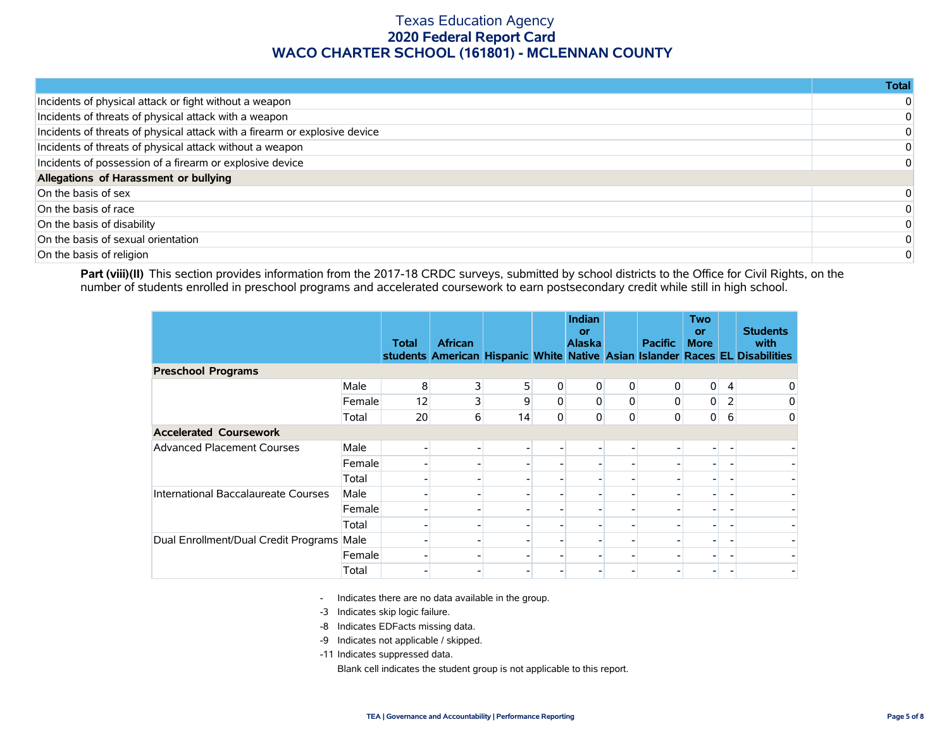|                                                                            | Total |
|----------------------------------------------------------------------------|-------|
| Incidents of physical attack or fight without a weapon                     |       |
| Incidents of threats of physical attack with a weapon                      |       |
| Incidents of threats of physical attack with a firearm or explosive device |       |
| Incidents of threats of physical attack without a weapon                   |       |
| Incidents of possession of a firearm or explosive device                   |       |
| Allegations of Harassment or bullying                                      |       |
| On the basis of sex                                                        |       |
| On the basis of race                                                       |       |
| On the basis of disability                                                 |       |
| On the basis of sexual orientation                                         |       |
| On the basis of religion                                                   |       |

Part (viii)(II) This section provides information from the 2017-18 CRDC surveys, submitted by school districts to the Office for Civil Rights, on the number of students enrolled in preschool programs and accelerated coursework to earn postsecondary credit while still in high school.

|                                      |        | <b>Total</b> | <b>African</b> |                |   | Indian<br>or<br><b>Alaska</b> |                | <b>Pacific</b> | <b>Two</b><br>or<br><b>More</b> |   | <b>Students</b><br>with<br>students American Hispanic White Native Asian Islander Races EL Disabilities |
|--------------------------------------|--------|--------------|----------------|----------------|---|-------------------------------|----------------|----------------|---------------------------------|---|---------------------------------------------------------------------------------------------------------|
| <b>Preschool Programs</b>            |        |              |                |                |   |                               |                |                |                                 |   |                                                                                                         |
|                                      | Male   | 8            | 3              | 5 <sub>1</sub> | 0 | 0                             | $\overline{0}$ | 0              | $\overline{0}$                  | 4 | 0                                                                                                       |
|                                      | Female | 12           | 3              | 9              | 0 | 0                             | $\overline{0}$ | 0              | 0                               | 2 | 0                                                                                                       |
|                                      | Total  | 20           | 6              | 14             | 0 | 0                             | $\overline{0}$ | 0              | 0                               | 6 | 0                                                                                                       |
| <b>Accelerated Coursework</b>        |        |              |                |                |   |                               |                |                |                                 |   |                                                                                                         |
| <b>Advanced Placement Courses</b>    | Male   |              |                |                |   |                               |                |                |                                 |   |                                                                                                         |
|                                      | Female |              |                |                |   |                               |                |                |                                 |   |                                                                                                         |
|                                      | Total  |              |                |                |   |                               |                |                |                                 |   | $\overline{\phantom{0}}$                                                                                |
| International Baccalaureate Courses  | Male   |              |                |                |   |                               |                |                |                                 |   | $\blacksquare$                                                                                          |
|                                      | Female |              |                |                |   |                               |                |                |                                 |   |                                                                                                         |
|                                      | Total  |              |                |                |   |                               |                |                |                                 |   | $\overline{\phantom{0}}$                                                                                |
| Dual Enrollment/Dual Credit Programs | Male   |              |                |                |   |                               |                |                |                                 |   | -                                                                                                       |
|                                      | Female |              |                |                |   |                               |                |                |                                 |   |                                                                                                         |
|                                      | Total  |              |                |                |   |                               |                |                |                                 |   |                                                                                                         |

- Indicates there are no data available in the group.

-3 Indicates skip logic failure.

- -8 Indicates EDFacts missing data.
- -9 Indicates not applicable / skipped.

-11 Indicates suppressed data.

Blank cell indicates the student group is not applicable to this report.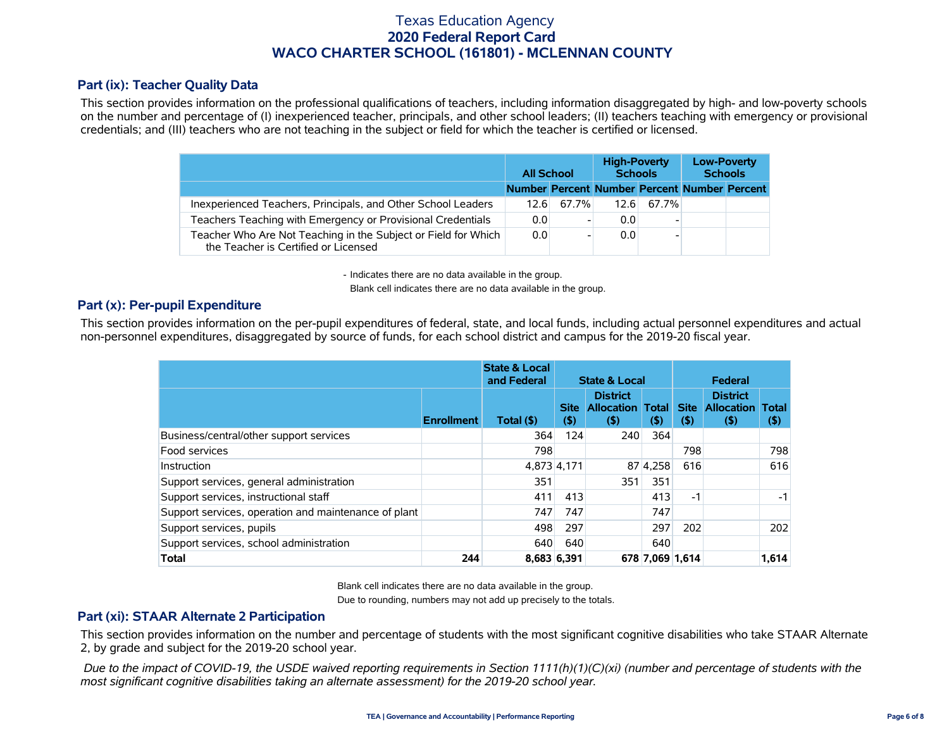### **Part (ix): Teacher Quality Data**

This section provides information on the professional qualifications of teachers, including information disaggregated by high- and low-poverty schools on the number and percentage of (I) inexperienced teacher, principals, and other school leaders; (II) teachers teaching with emergency or provisional credentials; and (III) teachers who are not teaching in the subject or field for which the teacher is certified or licensed.

|                                                                                                        | <b>All School</b> |       |      | <b>High-Poverty</b><br><b>Schools</b> | <b>Low-Poverty</b><br><b>Schools</b>         |  |  |
|--------------------------------------------------------------------------------------------------------|-------------------|-------|------|---------------------------------------|----------------------------------------------|--|--|
|                                                                                                        |                   |       |      |                                       | Number Percent Number Percent Number Percent |  |  |
| Inexperienced Teachers, Principals, and Other School Leaders                                           | 12.61             | 67.7% | 12.6 | 67.7%                                 |                                              |  |  |
| Teachers Teaching with Emergency or Provisional Credentials                                            | 0.0               |       | 0.0  |                                       |                                              |  |  |
| Teacher Who Are Not Teaching in the Subject or Field for Which<br>the Teacher is Certified or Licensed | 0.0               |       | 0.0  |                                       |                                              |  |  |

- Indicates there are no data available in the group.

Blank cell indicates there are no data available in the group.

### **Part (x): Per-pupil Expenditure**

This section provides information on the per-pupil expenditures of federal, state, and local funds, including actual personnel expenditures and actual non-personnel expenditures, disaggregated by source of funds, for each school district and campus for the 2019-20 fiscal year.

|                                                      |                   |             |                       | <b>State &amp; Local</b>                        |                        | Federal               |                                                 |                         |  |
|------------------------------------------------------|-------------------|-------------|-----------------------|-------------------------------------------------|------------------------|-----------------------|-------------------------------------------------|-------------------------|--|
|                                                      | <b>Enrollment</b> | Total (\$)  | <b>Site</b><br>$($ \$ | <b>District</b><br><b>Allocation</b><br>$($ \$) | <b>Total</b><br>$($ \$ | <b>Site</b><br>$($ \$ | <b>District</b><br><b>Allocation</b><br>$($ \$) | <b>Total</b><br>$($ \$) |  |
| Business/central/other support services              |                   | 364         | 124                   | 240                                             | 364                    |                       |                                                 |                         |  |
| Food services                                        |                   | 798         |                       |                                                 |                        | 798                   |                                                 | 798                     |  |
| Instruction                                          |                   | 4,873 4,171 |                       |                                                 | 87 4.258               | 616                   |                                                 | 616                     |  |
| Support services, general administration             |                   | 351         |                       | 351                                             | 351                    |                       |                                                 |                         |  |
| Support services, instructional staff                |                   | 411         | 413                   |                                                 | 413                    | -1                    |                                                 | -1                      |  |
| Support services, operation and maintenance of plant |                   | 747         | 747                   |                                                 | 747                    |                       |                                                 |                         |  |
| Support services, pupils                             |                   | 498         | 297                   |                                                 | 297                    | 202                   |                                                 | 202                     |  |
| Support services, school administration              |                   | 640         | 640                   |                                                 | 640                    |                       |                                                 |                         |  |
| <b>Total</b>                                         | 244               | 8,683 6,391 |                       |                                                 | 678 7,069 1,614        |                       |                                                 | 1,614                   |  |

Blank cell indicates there are no data available in the group.

Due to rounding, numbers may not add up precisely to the totals.

#### **Part (xi): STAAR Alternate 2 Participation**

This section provides information on the number and percentage of students with the most significant cognitive disabilities who take STAAR Alternate 2, by grade and subject for the 2019-20 school year.

 *Due to the impact of COVID-19, the USDE waived reporting requirements in Section 1111(h)(1)(C)(xi) (number and percentage of students with the most significant cognitive disabilities taking an alternate assessment) for the 2019-20 school year.*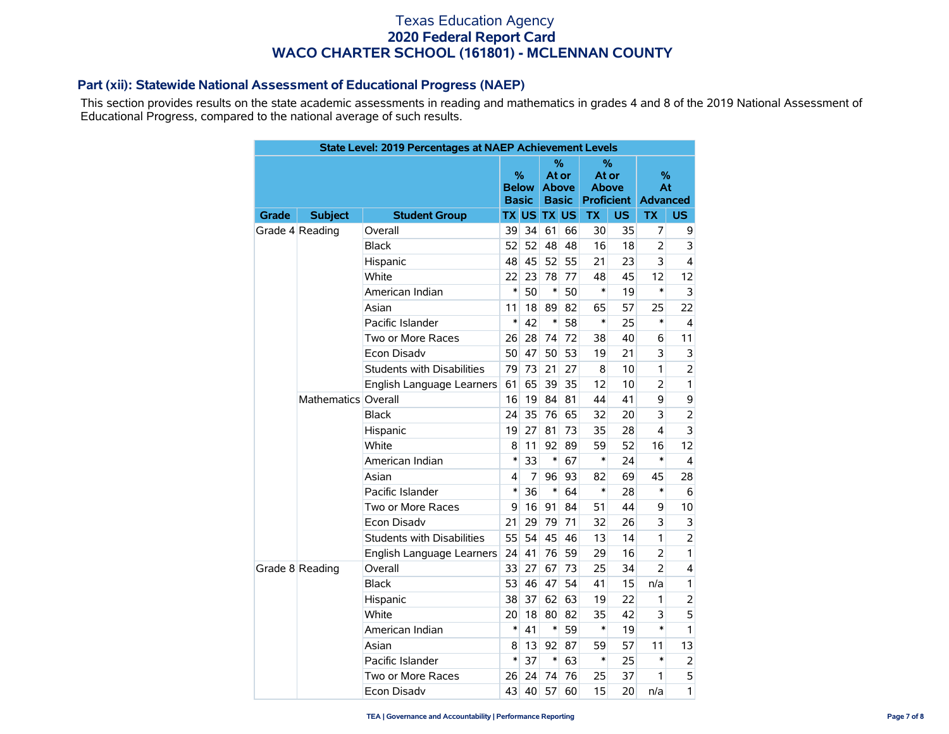### **Part (xii): Statewide National Assessment of Educational Progress (NAEP)**

This section provides results on the state academic assessments in reading and mathematics in grades 4 and 8 of the 2019 National Assessment of Educational Progress, compared to the national average of such results.

|       |                     | State Level: 2019 Percentages at NAEP Achievement Levels |        |                                   |                    |                                            |                       |                        |                            |                |
|-------|---------------------|----------------------------------------------------------|--------|-----------------------------------|--------------------|--------------------------------------------|-----------------------|------------------------|----------------------------|----------------|
|       |                     |                                                          |        | %<br><b>Below</b><br><b>Basic</b> |                    | %<br>At or<br><b>Above</b><br><b>Basic</b> | At or<br><b>Above</b> | %<br><b>Proficient</b> | %<br>At<br><b>Advanced</b> |                |
| Grade | <b>Subject</b>      | <b>Student Group</b>                                     |        |                                   | <b>TX US TX US</b> |                                            | <b>TX</b>             | US.                    | <b>TX</b>                  | US             |
|       | Grade 4 Reading     | Overall                                                  | 39     | 34                                | 61                 | 66                                         | 30                    | 35                     | 7                          | 9              |
|       |                     | 52<br><b>Black</b>                                       |        | 52                                | 48                 | 48                                         | 16                    | 18                     | $\overline{2}$             | 3              |
|       |                     | 48<br>Hispanic                                           |        | 45                                | 52                 | 55                                         | 21                    | 23                     | 3                          | 4              |
|       |                     | White<br>22                                              |        | 23                                | 78                 | 77                                         | 48                    | 45                     | 12                         | 12             |
|       |                     | American Indian                                          |        | 50                                | $\ast$             | 50                                         | $\ast$                | 19                     | $\ast$                     | 3              |
|       |                     | Asian                                                    | 11     | 18                                | 89                 | 82                                         | 65                    | 57                     | 25                         | 22             |
|       |                     | Pacific Islander                                         | $\ast$ | 42                                | $\ast$             | 58                                         | $\ast$                | 25                     | $\ast$                     | 4              |
|       |                     | Two or More Races                                        | 26     | 28                                | 74                 | 72                                         | 38                    | 40                     | 6                          | 11             |
|       |                     | <b>Econ Disadv</b>                                       | 50     | 47                                | 50                 | 53                                         | 19                    | 21                     | 3                          | 3              |
|       |                     | <b>Students with Disabilities</b>                        | 79     | 73                                | 21                 | 27                                         | 8                     | 10                     | 1                          | $\overline{2}$ |
|       |                     | English Language Learners                                | 61     | 65                                | 39                 | 35                                         | 12                    | 10                     | $\overline{2}$             | 1              |
|       | Mathematics Overall |                                                          | 16     | 19                                | 84                 | 81                                         | 44                    | 41                     | 9                          | 9              |
|       |                     | <b>Black</b>                                             | 24     | 35                                | 76                 | 65                                         | 32                    | 20                     | 3                          | $\overline{2}$ |
|       |                     | Hispanic                                                 | 19     | 27                                | 81                 | 73                                         | 35                    | 28                     | $\overline{\mathbf{4}}$    | 3              |
|       |                     | White                                                    | 8      | 11                                | 92                 | 89                                         | 59                    | 52                     | 16                         | 12             |
|       |                     | American Indian                                          | $\ast$ | 33                                | $\ast$             | 67                                         | $\ast$                | 24                     | $\ast$                     | $\overline{4}$ |
|       |                     | Asian                                                    | 4      | 7                                 | 96                 | 93                                         | 82                    | 69                     | 45                         | 28             |
|       |                     | Pacific Islander                                         | $\ast$ | 36                                | $\ast$             | 64                                         | $\ast$                | 28                     | $\ast$                     | 6              |
|       |                     | Two or More Races                                        | 9      | 16                                | 91                 | 84                                         | 51                    | 44                     | 9                          | 10             |
|       |                     | Econ Disadv                                              | 21     | 29                                | 79                 | 71                                         | 32                    | 26                     | 3                          | 3              |
|       |                     | <b>Students with Disabilities</b>                        | 55     | 54                                | 45                 | 46                                         | 13                    | 14                     | 1                          | $\overline{2}$ |
|       |                     | English Language Learners                                | 24     | 41                                | 76                 | 59                                         | 29                    | 16                     | $\overline{2}$             | 1              |
|       | Grade 8 Reading     | Overall                                                  | 33     | 27                                | 67                 | 73                                         | 25                    | 34                     | $\overline{2}$             | 4              |
|       |                     | <b>Black</b>                                             | 53     | 46                                | 47                 | 54                                         | 41                    | 15                     | n/a                        | 1              |
|       |                     | Hispanic                                                 | 38     | 37                                | 62                 | 63                                         | 19                    | 22                     | 1                          | $\overline{2}$ |
|       |                     | White                                                    | 20     | 18                                | 80                 | 82                                         | 35                    | 42                     | 3                          | 5              |
|       |                     | American Indian                                          | $\ast$ | 41                                | $\ast$             | 59                                         | *                     | 19                     | $\ast$                     | 1              |
|       |                     | Asian                                                    | 8      | 13                                | 92                 | 87                                         | 59                    | 57                     | 11                         | 13             |
|       |                     | Pacific Islander                                         | $\ast$ | 37                                | $\ast$             | 63                                         | *                     | 25                     | $\ast$                     | 2              |
|       |                     | Two or More Races                                        | 26     | 24                                | 74                 | 76                                         | 25                    | 37                     | 1                          | 5              |
|       |                     | Econ Disadv                                              | 43     | 40                                | 57                 | 60                                         | 15                    | 20                     | n/a                        | 1              |